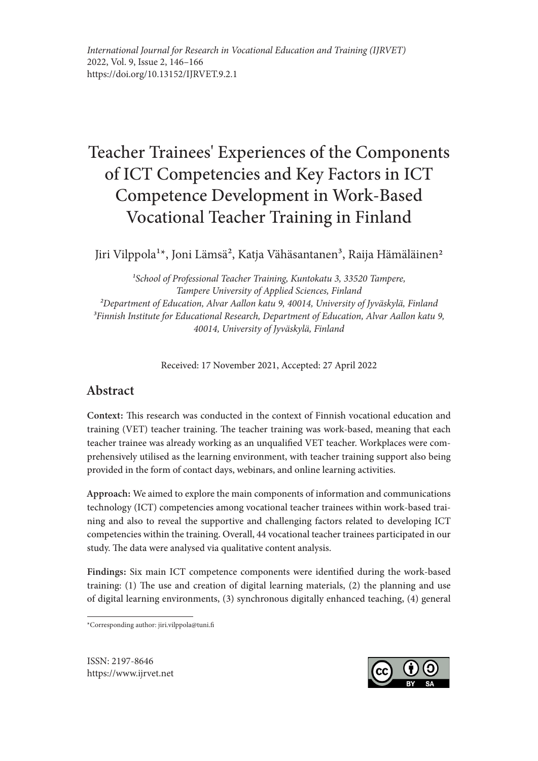# Teacher Trainees' Experiences of the Components of ICT Competencies and Key Factors in ICT Competence Development in Work-Based Vocational Teacher Training in Finland

Jiri Vilppola<sup>1\*</sup>, Joni Lämsä<sup>2</sup>, Katja Vähäsantanen<sup>3</sup>, Raija Hämäläinen<sup>2</sup>

*1School of Professional Teacher Training, Kuntokatu 3, 33520 Tampere, Tampere University of Applied Sciences, Finland 2Department of Education, Alvar Aallon katu 9, 40014, University of Jyväskylä, Finland 3Finnish Institute for Educational Research, Department of Education, Alvar Aallon katu 9, 40014, University of Jyväskylä, Finland* 

Received: 17 November 2021, Accepted: 27 April 2022

# Abstract

Context: This research was conducted in the context of Finnish vocational education and training (VET) teacher training. The teacher training was work-based, meaning that each teacher trainee was already working as an unqualified VET teacher. Workplaces were comprehensively utilised as the learning environment, with teacher training support also being provided in the form of contact days, webinars, and online learning activities.

Approach: We aimed to explore the main components of information and communications technology (ICT) competencies among vocational teacher trainees within work-based training and also to reveal the supportive and challenging factors related to developing ICT competencies within the training. Overall, 44 vocational teacher trainees participated in our study. The data were analysed via qualitative content analysis.

Findings: Six main ICT competence components were identified during the work-based training: (1) The use and creation of digital learning materials, (2) the planning and use of digital learning environments, (3) synchronous digitally enhanced teaching, (4) general

\*Corresponding author: jiri.vilppola@tuni.fi

ISSN: 2197-8646 https://www.ijrvet.net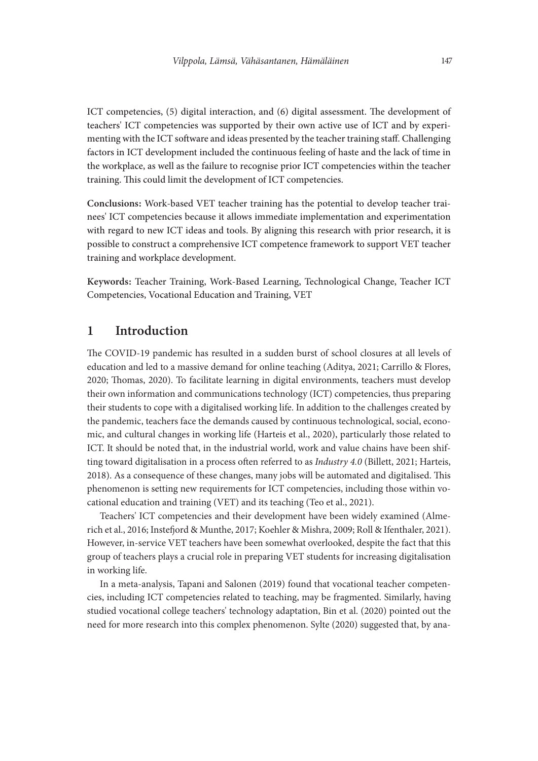ICT competencies, (5) digital interaction, and (6) digital assessment. The development of teachers' ICT competencies was supported by their own active use of ICT and by experimenting with the ICT software and ideas presented by the teacher training staff. Challenging factors in ICT development included the continuous feeling of haste and the lack of time in the workplace, as well as the failure to recognise prior ICT competencies within the teacher training. This could limit the development of ICT competencies.

Conclusions: Work-based VET teacher training has the potential to develop teacher trainees' ICT competencies because it allows immediate implementation and experimentation with regard to new ICT ideas and tools. By aligning this research with prior research, it is possible to construct a comprehensive ICT competence framework to support VET teacher training and workplace development.

Keywords: Teacher Training, Work-Based Learning, Technological Change, Teacher ICT Competencies, Vocational Education and Training, VET

## 1 Introduction

The COVID-19 pandemic has resulted in a sudden burst of school closures at all levels of education and led to a massive demand for online teaching (Aditya, 2021; Carrillo & Flores, 2020; Thomas, 2020). To facilitate learning in digital environments, teachers must develop their own information and communications technology (ICT) competencies, thus preparing their students to cope with a digitalised working life. In addition to the challenges created by the pandemic, teachers face the demands caused by continuous technological, social, economic, and cultural changes in working life (Harteis et al., 2020), particularly those related to ICT. It should be noted that, in the industrial world, work and value chains have been shifting toward digitalisation in a process often referred to as *Industry 4.0* (Billett, 2021; Harteis, 2018). As a consequence of these changes, many jobs will be automated and digitalised. This phenomenon is setting new requirements for ICT competencies, including those within vocational education and training (VET) and its teaching (Teo et al., 2021).

Teachers' ICT competencies and their development have been widely examined (Almerich et al., 2016; Instefjord & Munthe, 2017; Koehler & Mishra, 2009; Roll & Ifenthaler, 2021). However, in-service VET teachers have been somewhat overlooked, despite the fact that this group of teachers plays a crucial role in preparing VET students for increasing digitalisation in working life.

In a meta-analysis, Tapani and Salonen (2019) found that vocational teacher competencies, including ICT competencies related to teaching, may be fragmented. Similarly, having studied vocational college teachers' technology adaptation, Bin et al. (2020) pointed out the need for more research into this complex phenomenon. Sylte (2020) suggested that, by ana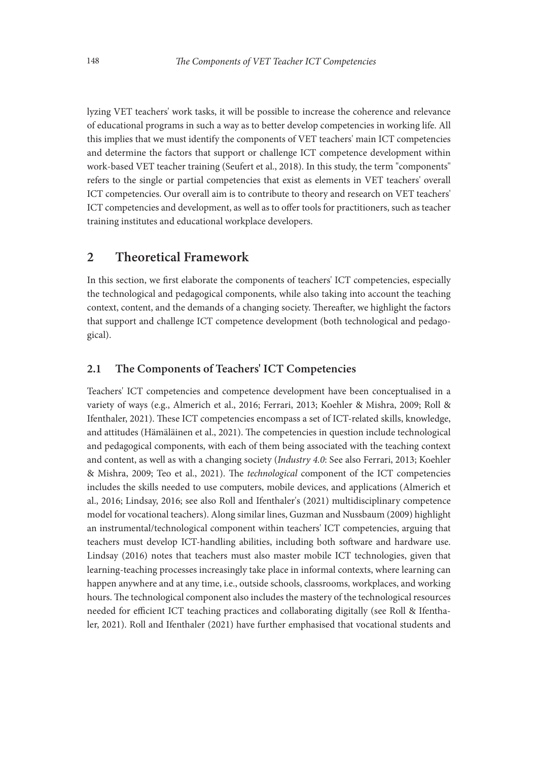lyzing VET teachers' work tasks, it will be possible to increase the coherence and relevance of educational programs in such a way as to better develop competencies in working life. All this implies that we must identify the components of VET teachers' main ICT competencies and determine the factors that support or challenge ICT competence development within work-based VET teacher training (Seufert et al., 2018). In this study, the term "components" refers to the single or partial competencies that exist as elements in VET teachers' overall ICT competencies. Our overall aim is to contribute to theory and research on VET teachers' ICT competencies and development, as well as to offer tools for practitioners, such as teacher training institutes and educational workplace developers.

## 2 Theoretical Framework

In this section, we first elaborate the components of teachers' ICT competencies, especially the technological and pedagogical components, while also taking into account the teaching context, content, and the demands of a changing society. Thereafter, we highlight the factors that support and challenge ICT competence development (both technological and pedagogical).

#### 2.1 The Components of Teachers' ICT Competencies

Teachers' ICT competencies and competence development have been conceptualised in a variety of ways (e.g., Almerich et al., 2016; Ferrari, 2013; Koehler & Mishra, 2009; Roll & Ifenthaler, 2021). These ICT competencies encompass a set of ICT-related skills, knowledge, and attitudes (Hämäläinen et al., 2021). The competencies in question include technological and pedagogical components, with each of them being associated with the teaching context and content, as well as with a changing society (*Industry 4.0*: See also Ferrari, 2013; Koehler & Mishra, 2009; Teo et al., 2021). The *technological* component of the ICT competencies includes the skills needed to use computers, mobile devices, and applications (Almerich et al., 2016; Lindsay, 2016; see also Roll and Ifenthaler's (2021) multidisciplinary competence model for vocational teachers). Along similar lines, Guzman and Nussbaum (2009) highlight an instrumental/technological component within teachers' ICT competencies, arguing that teachers must develop ICT-handling abilities, including both software and hardware use. Lindsay (2016) notes that teachers must also master mobile ICT technologies, given that learning-teaching processes increasingly take place in informal contexts, where learning can happen anywhere and at any time, i.e., outside schools, classrooms, workplaces, and working hours. The technological component also includes the mastery of the technological resources needed for efficient ICT teaching practices and collaborating digitally (see Roll & Ifenthaler, 2021). Roll and Ifenthaler (2021) have further emphasised that vocational students and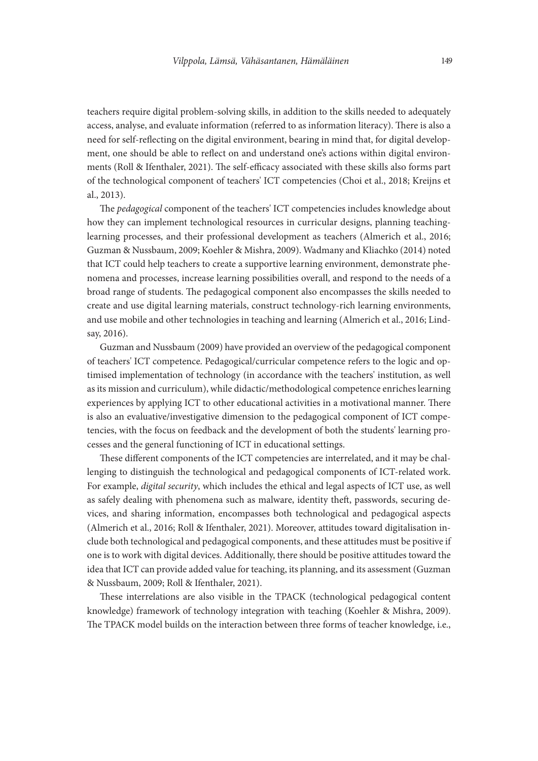teachers require digital problem-solving skills, in addition to the skills needed to adequately access, analyse, and evaluate information (referred to as information literacy). There is also a need for self-reflecting on the digital environment, bearing in mind that, for digital development, one should be able to reflect on and understand one's actions within digital environments (Roll & Ifenthaler, 2021). The self-efficacy associated with these skills also forms part of the technological component of teachers' ICT competencies (Choi et al., 2018; Kreijns et al., 2013).

The *pedagogical* component of the teachers' ICT competencies includes knowledge about how they can implement technological resources in curricular designs, planning teachinglearning processes, and their professional development as teachers (Almerich et al., 2016; Guzman & Nussbaum, 2009; Koehler & Mishra, 2009). Wadmany and Kliachko (2014) noted that ICT could help teachers to create a supportive learning environment, demonstrate phenomena and processes, increase learning possibilities overall, and respond to the needs of a broad range of students. The pedagogical component also encompasses the skills needed to create and use digital learning materials, construct technology-rich learning environments, and use mobile and other technologies in teaching and learning (Almerich et al., 2016; Lindsay, 2016).

Guzman and Nussbaum (2009) have provided an overview of the pedagogical component of teachers' ICT competence. Pedagogical/curricular competence refers to the logic and optimised implementation of technology (in accordance with the teachers' institution, as well as its mission and curriculum), while didactic/methodological competence enriches learning experiences by applying ICT to other educational activities in a motivational manner. There is also an evaluative/investigative dimension to the pedagogical component of ICT competencies, with the focus on feedback and the development of both the students' learning processes and the general functioning of ICT in educational settings.

These different components of the ICT competencies are interrelated, and it may be challenging to distinguish the technological and pedagogical components of ICT-related work. For example, *digital security*, which includes the ethical and legal aspects of ICT use, as well as safely dealing with phenomena such as malware, identity theft, passwords, securing devices, and sharing information, encompasses both technological and pedagogical aspects (Almerich et al., 2016; Roll & Ifenthaler, 2021). Moreover, attitudes toward digitalisation include both technological and pedagogical components, and these attitudes must be positive if one is to work with digital devices. Additionally, there should be positive attitudes toward the idea that ICT can provide added value for teaching, its planning, and its assessment (Guzman & Nussbaum, 2009; Roll & Ifenthaler, 2021).

These interrelations are also visible in the TPACK (technological pedagogical content knowledge) framework of technology integration with teaching (Koehler & Mishra, 2009). The TPACK model builds on the interaction between three forms of teacher knowledge, i.e.,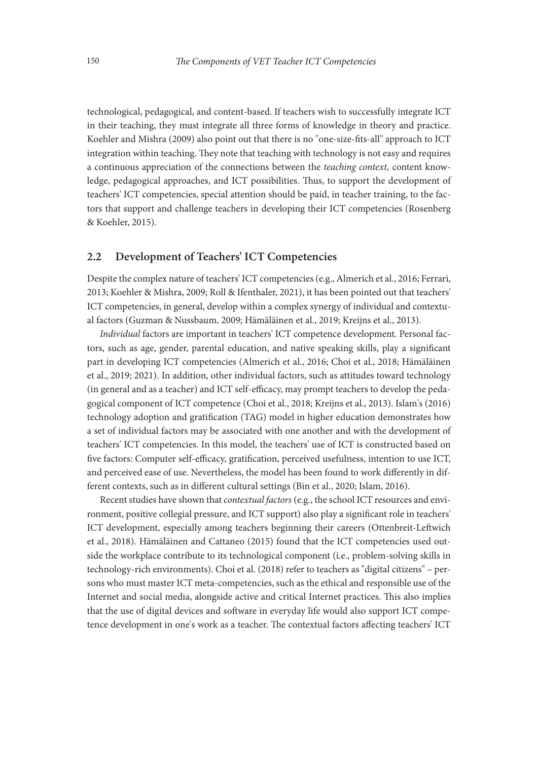technological, pedagogical, and content-based. If teachers wish to successfully integrate ICT in their teaching, they must integrate all three forms of knowledge in theory and practice. Koehler and Mishra (2009) also point out that there is no "one-size-fits-all" approach to ICT integration within teaching. They note that teaching with technology is not easy and requires a continuous appreciation of the connections between the *teaching context,* content knowledge, pedagogical approaches, and ICT possibilities. Thus, to support the development of teachers' ICT competencies, special attention should be paid, in teacher training, to the factors that support and challenge teachers in developing their ICT competencies (Rosenberg & Koehler, 2015).

#### 2.2 Development of Teachers' ICT Competencies

Despite the complex nature of teachers' ICT competencies (e.g., Almerich et al., 2016; Ferrari, 2013; Koehler & Mishra, 2009; Roll & Ifenthaler, 2021), it has been pointed out that teachers' ICT competencies, in general, develop within a complex synergy of individual and contextual factors (Guzman & Nussbaum, 2009; Hämäläinen et al., 2019; Kreijns et al., 2013).

*Individual* factors are important in teachers' ICT competence development. Personal factors, such as age, gender, parental education, and native speaking skills, play a significant part in developing ICT competencies (Almerich et al., 2016; Choi et al., 2018; Hämäläinen et al., 2019; 2021). In addition, other individual factors, such as attitudes toward technology (in general and as a teacher) and ICT self-efficacy, may prompt teachers to develop the pedagogical component of ICT competence (Choi et al., 2018; Kreijns et al., 2013). Islam's (2016) technology adoption and gratification (TAG) model in higher education demonstrates how a set of individual factors may be associated with one another and with the development of teachers' ICT competencies. In this model, the teachers' use of ICT is constructed based on five factors: Computer self-efficacy, gratification, perceived usefulness, intention to use ICT, and perceived ease of use. Nevertheless, the model has been found to work differently in different contexts, such as in different cultural settings (Bin et al., 2020; Islam, 2016).

Recent studies have shown that *contextual factors* (e.g., the school ICT resources and environment, positive collegial pressure, and ICT support) also play a significant role in teachers' ICT development, especially among teachers beginning their careers (Ottenbreit-Leftwich et al., 2018). Hämäläinen and Cattaneo (2015) found that the ICT competencies used outside the workplace contribute to its technological component (i.e., problem-solving skills in technology-rich environments). Choi et al. (2018) refer to teachers as "digital citizens" – persons who must master ICT meta-competencies, such as the ethical and responsible use of the Internet and social media, alongside active and critical Internet practices. This also implies that the use of digital devices and software in everyday life would also support ICT competence development in one's work as a teacher. The contextual factors affecting teachers' ICT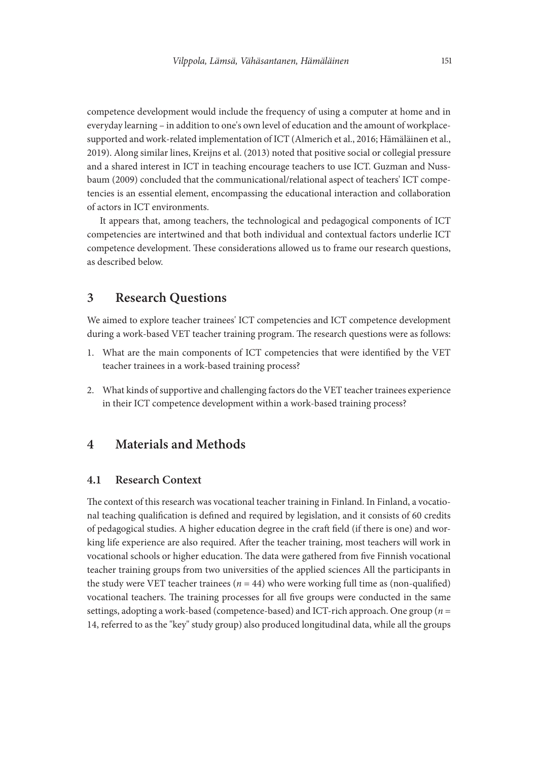competence development would include the frequency of using a computer at home and in everyday learning – in addition to one's own level of education and the amount of workplacesupported and work-related implementation of ICT (Almerich et al., 2016; Hämäläinen et al., 2019). Along similar lines, Kreijns et al. (2013) noted that positive social or collegial pressure and a shared interest in ICT in teaching encourage teachers to use ICT. Guzman and Nussbaum (2009) concluded that the communicational/relational aspect of teachers' ICT competencies is an essential element, encompassing the educational interaction and collaboration of actors in ICT environments.

It appears that, among teachers, the technological and pedagogical components of ICT competencies are intertwined and that both individual and contextual factors underlie ICT competence development. These considerations allowed us to frame our research questions, as described below.

## 3 Research Questions

We aimed to explore teacher trainees' ICT competencies and ICT competence development during a work-based VET teacher training program. The research questions were as follows:

- 1. What are the main components of ICT competencies that were identified by the VET teacher trainees in a work-based training process?
- 2. What kinds of supportive and challenging factors do the VET teacher trainees experience in their ICT competence development within a work-based training process?

## 4 Materials and Methods

#### 4.1 Research Context

The context of this research was vocational teacher training in Finland. In Finland, a vocational teaching qualification is defined and required by legislation, and it consists of 60 credits of pedagogical studies. A higher education degree in the craft field (if there is one) and working life experience are also required. After the teacher training, most teachers will work in vocational schools or higher education. The data were gathered from five Finnish vocational teacher training groups from two universities of the applied sciences All the participants in the study were VET teacher trainees  $(n = 44)$  who were working full time as (non-qualified) vocational teachers. The training processes for all five groups were conducted in the same settings, adopting a work-based (competence-based) and ICT-rich approach. One group (*n* = 14, referred to as the "key" study group) also produced longitudinal data, while all the groups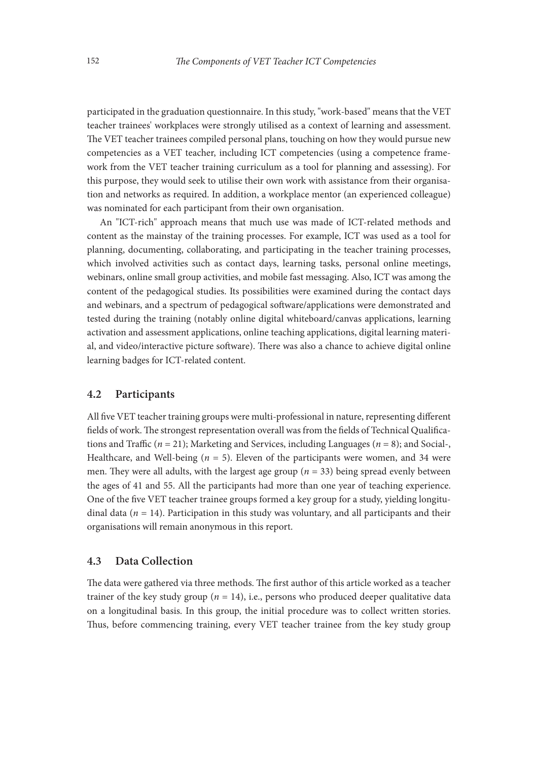participated in the graduation questionnaire. In this study, "work-based" means that the VET teacher trainees' workplaces were strongly utilised as a context of learning and assessment. The VET teacher trainees compiled personal plans, touching on how they would pursue new competencies as a VET teacher, including ICT competencies (using a competence framework from the VET teacher training curriculum as a tool for planning and assessing). For this purpose, they would seek to utilise their own work with assistance from their organisation and networks as required. In addition, a workplace mentor (an experienced colleague) was nominated for each participant from their own organisation.

An "ICT-rich" approach means that much use was made of ICT-related methods and content as the mainstay of the training processes. For example, ICT was used as a tool for planning, documenting, collaborating, and participating in the teacher training processes, which involved activities such as contact days, learning tasks, personal online meetings, webinars, online small group activities, and mobile fast messaging. Also, ICT was among the content of the pedagogical studies. Its possibilities were examined during the contact days and webinars, and a spectrum of pedagogical software/applications were demonstrated and tested during the training (notably online digital whiteboard/canvas applications, learning activation and assessment applications, online teaching applications, digital learning material, and video/interactive picture software). There was also a chance to achieve digital online learning badges for ICT-related content.

#### 4.2 Participants

All five VET teacher training groups were multi-professional in nature, representing different fields of work. The strongest representation overall was from the fields of Technical Qualifications and Traffic (*n* = 21); Marketing and Services, including Languages (*n* = 8); and Social-, Healthcare, and Well-being  $(n = 5)$ . Eleven of the participants were women, and 34 were men. They were all adults, with the largest age group ( $n = 33$ ) being spread evenly between the ages of 41 and 55. All the participants had more than one year of teaching experience. One of the five VET teacher trainee groups formed a key group for a study, yielding longitudinal data (*n* = 14). Participation in this study was voluntary, and all participants and their organisations will remain anonymous in this report.

#### 4.3 Data Collection

The data were gathered via three methods. The first author of this article worked as a teacher trainer of the key study group  $(n = 14)$ , i.e., persons who produced deeper qualitative data on a longitudinal basis. In this group, the initial procedure was to collect written stories. Thus, before commencing training, every VET teacher trainee from the key study group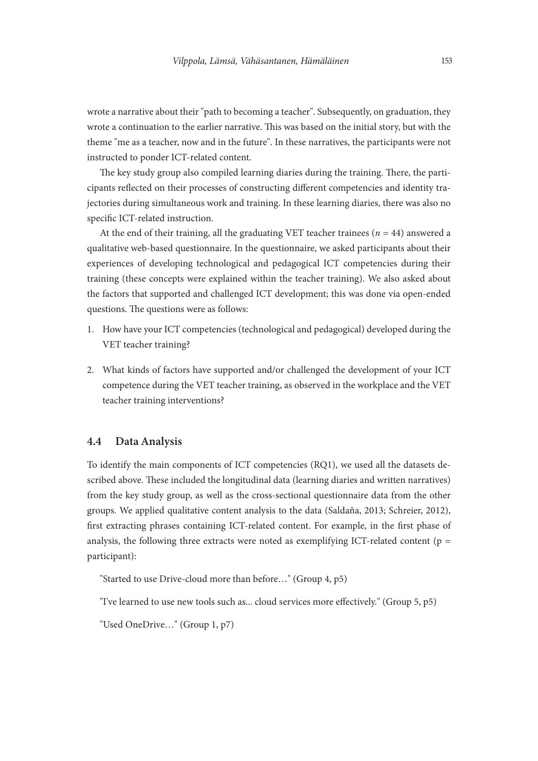wrote a narrative about their "path to becoming a teacher". Subsequently, on graduation, they wrote a continuation to the earlier narrative. This was based on the initial story, but with the theme "me as a teacher, now and in the future". In these narratives, the participants were not instructed to ponder ICT-related content.

The key study group also compiled learning diaries during the training. There, the participants reflected on their processes of constructing different competencies and identity trajectories during simultaneous work and training. In these learning diaries, there was also no specific ICT-related instruction.

At the end of their training, all the graduating VET teacher trainees ( $n = 44$ ) answered a qualitative web-based questionnaire. In the questionnaire, we asked participants about their experiences of developing technological and pedagogical ICT competencies during their training (these concepts were explained within the teacher training). We also asked about the factors that supported and challenged ICT development; this was done via open-ended questions. The questions were as follows:

- 1. How have your ICT competencies (technological and pedagogical) developed during the VET teacher training?
- 2. What kinds of factors have supported and/or challenged the development of your ICT competence during the VET teacher training, as observed in the workplace and the VET teacher training interventions?

#### 4.4 Data Analysis

To identify the main components of ICT competencies (RQ1), we used all the datasets described above. These included the longitudinal data (learning diaries and written narratives) from the key study group, as well as the cross-sectional questionnaire data from the other groups. We applied qualitative content analysis to the data (Saldaña, 2013; Schreier, 2012), first extracting phrases containing ICT-related content. For example, in the first phase of analysis, the following three extracts were noted as exemplifying ICT-related content ( $p =$ participant):

"Started to use Drive-cloud more than before…" (Group 4, p5)

"I've learned to use new tools such as... cloud services more effectively." (Group 5, p5)

"Used OneDrive…" (Group 1, p7)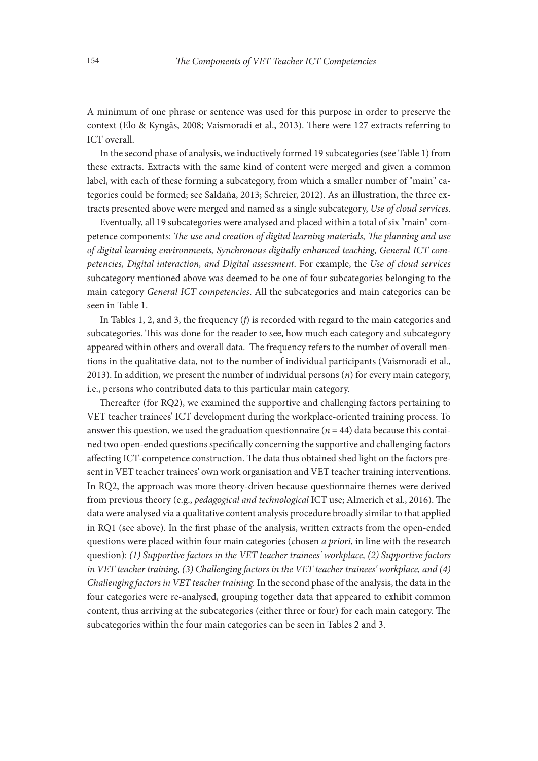A minimum of one phrase or sentence was used for this purpose in order to preserve the context (Elo & Kyngäs, 2008; Vaismoradi et al., 2013). There were 127 extracts referring to ICT overall.

In the second phase of analysis, we inductively formed 19 subcategories (see Table 1) from these extracts. Extracts with the same kind of content were merged and given a common label, with each of these forming a subcategory, from which a smaller number of "main" categories could be formed; see Saldaña, 2013; Schreier, 2012). As an illustration, the three extracts presented above were merged and named as a single subcategory, *Use of cloud services*.

Eventually, all 19 subcategories were analysed and placed within a total of six "main" competence components: *The use and creation of digital learning materials, The planning and use of digital learning environments, Synchronous digitally enhanced teaching, General ICT competencies, Digital interaction, and Digital assessment*. For example, the *Use of cloud services*  subcategory mentioned above was deemed to be one of four subcategories belonging to the main category *General ICT competencies*. All the subcategories and main categories can be seen in Table 1.

In Tables 1, 2, and 3, the frequency (*f*) is recorded with regard to the main categories and subcategories. This was done for the reader to see, how much each category and subcategory appeared within others and overall data. The frequency refers to the number of overall mentions in the qualitative data, not to the number of individual participants (Vaismoradi et al., 2013). In addition, we present the number of individual persons (*n*) for every main category, i.e., persons who contributed data to this particular main category.

Thereafter (for RQ2), we examined the supportive and challenging factors pertaining to VET teacher trainees' ICT development during the workplace-oriented training process. To answer this question, we used the graduation questionnaire ( $n = 44$ ) data because this contained two open-ended questions specifically concerning the supportive and challenging factors affecting ICT-competence construction. The data thus obtained shed light on the factors present in VET teacher trainees' own work organisation and VET teacher training interventions. In RQ2, the approach was more theory-driven because questionnaire themes were derived from previous theory (e.g., *pedagogical and technological* ICT use; Almerich et al., 2016). The data were analysed via a qualitative content analysis procedure broadly similar to that applied in RQ1 (see above). In the first phase of the analysis, written extracts from the open-ended questions were placed within four main categories (chosen *a priori*, in line with the research question): *(1) Supportive factors in the VET teacher trainees' workplace, (2) Supportive factors in VET teacher training, (3) Challenging factors in the VET teacher trainees' workplace, and (4) Challenging factors in VET teacher training.* In the second phase of the analysis, the data in the four categories were re-analysed, grouping together data that appeared to exhibit common content, thus arriving at the subcategories (either three or four) for each main category. The subcategories within the four main categories can be seen in Tables 2 and 3.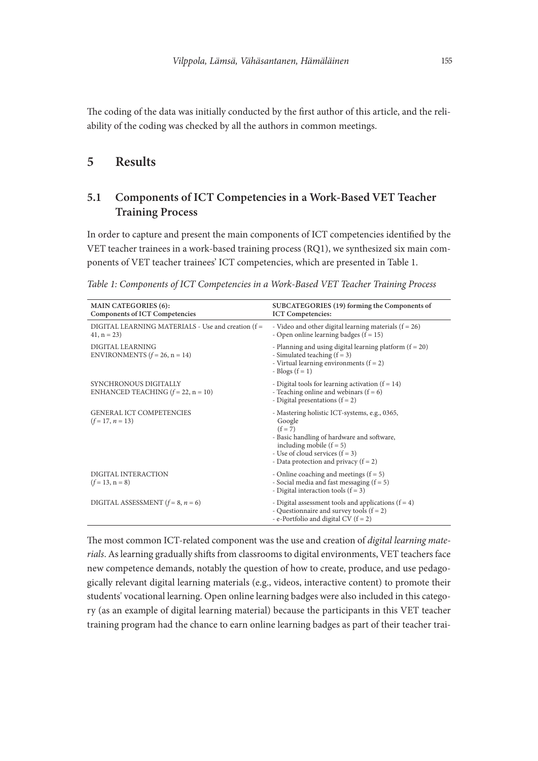The coding of the data was initially conducted by the first author of this article, and the reliability of the coding was checked by all the authors in common meetings.

## 5 Results

## 5.1 Components of ICT Competencies in a Work-Based VET Teacher Training Process

In order to capture and present the main components of ICT competencies identified by the VET teacher trainees in a work-based training process (RQ1), we synthesized six main components of VET teacher trainees' ICT competencies, which are presented in Table 1.

|  |  |  |  |  | Table 1: Components of ICT Competencies in a Work-Based VET Teacher Training Process |  |  |  |  |  |  |  |  |
|--|--|--|--|--|--------------------------------------------------------------------------------------|--|--|--|--|--|--|--|--|
|--|--|--|--|--|--------------------------------------------------------------------------------------|--|--|--|--|--|--|--|--|

| <b>MAIN CATEGORIES (6):</b><br><b>Components of ICT Competencies</b> | SUBCATEGORIES (19) forming the Components of<br><b>ICT Competencies:</b>                                                                                                                                                         |
|----------------------------------------------------------------------|----------------------------------------------------------------------------------------------------------------------------------------------------------------------------------------------------------------------------------|
| DIGITAL LEARNING MATERIALS - Use and creation (f =<br>$41, n = 23$   | - Video and other digital learning materials $(f = 26)$<br>- Open online learning badges $(f = 15)$                                                                                                                              |
| DIGITAL LEARNING<br>ENVIRONMENTS $(f = 26, n = 14)$                  | - Planning and using digital learning platform $(f = 20)$<br>- Simulated teaching $(f = 3)$<br>- Virtual learning environments $(f = 2)$<br>- Blogs $(f = 1)$                                                                    |
| SYNCHRONOUS DIGITALLY<br>ENHANCED TEACHING $(f = 22, n = 10)$        | - Digital tools for learning activation $(f = 14)$<br>- Teaching online and webinars $(f = 6)$<br>- Digital presentations $(f = 2)$                                                                                              |
| <b>GENERAL ICT COMPETENCIES</b><br>$(f=17, n=13)$                    | - Mastering holistic ICT-systems, e.g., 0365,<br>Google<br>$(f = 7)$<br>- Basic handling of hardware and software,<br>including mobile $(f = 5)$<br>- Use of cloud services $(f = 3)$<br>- Data protection and privacy $(f = 2)$ |
| DIGITAL INTERACTION<br>$(f = 13, n = 8)$                             | - Online coaching and meetings $(f = 5)$<br>- Social media and fast messaging $(f = 5)$<br>- Digital interaction tools $(f = 3)$                                                                                                 |
| DIGITAL ASSESSMENT $(f = 8, n = 6)$                                  | - Digital assessment tools and applications $(f = 4)$<br>- Questionnaire and survey tools $(f = 2)$<br>- e-Portfolio and digital CV $(f = 2)$                                                                                    |

The most common ICT-related component was the use and creation of *digital learning materials*. As learning gradually shifts from classrooms to digital environments, VET teachers face new competence demands, notably the question of how to create, produce, and use pedagogically relevant digital learning materials (e.g., videos, interactive content) to promote their students' vocational learning. Open online learning badges were also included in this category (as an example of digital learning material) because the participants in this VET teacher training program had the chance to earn online learning badges as part of their teacher trai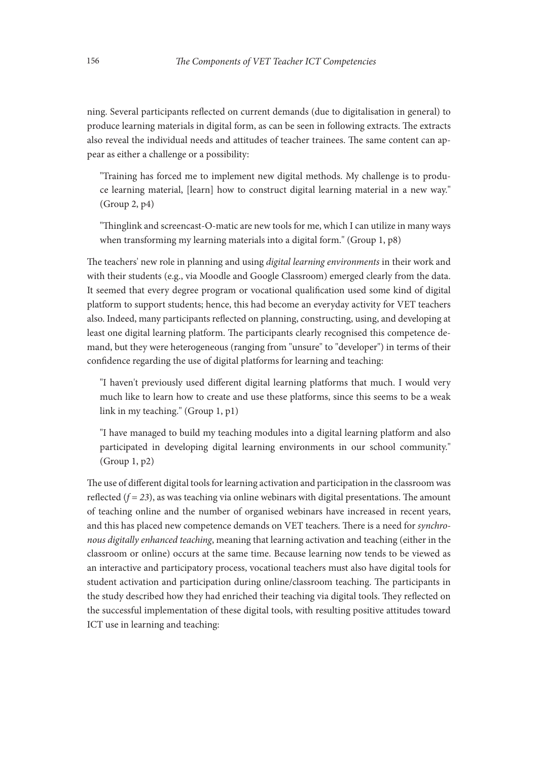ning. Several participants reflected on current demands (due to digitalisation in general) to produce learning materials in digital form, as can be seen in following extracts. The extracts also reveal the individual needs and attitudes of teacher trainees. The same content can appear as either a challenge or a possibility:

"Training has forced me to implement new digital methods. My challenge is to produce learning material, [learn] how to construct digital learning material in a new way." (Group 2, p4)

"Thinglink and screencast-O-matic are new tools for me, which I can utilize in many ways when transforming my learning materials into a digital form." (Group 1, p8)

The teachers' new role in planning and using *digital learning environments* in their work and with their students (e.g., via Moodle and Google Classroom) emerged clearly from the data. It seemed that every degree program or vocational qualification used some kind of digital platform to support students; hence, this had become an everyday activity for VET teachers also. Indeed, many participants reflected on planning, constructing, using, and developing at least one digital learning platform. The participants clearly recognised this competence demand, but they were heterogeneous (ranging from "unsure" to "developer") in terms of their confidence regarding the use of digital platforms for learning and teaching:

"I haven't previously used different digital learning platforms that much. I would very much like to learn how to create and use these platforms, since this seems to be a weak link in my teaching." (Group 1, p1)

"I have managed to build my teaching modules into a digital learning platform and also participated in developing digital learning environments in our school community." (Group 1, p2)

The use of different digital tools for learning activation and participation in the classroom was reflected  $(f = 23)$ , as was teaching via online webinars with digital presentations. The amount of teaching online and the number of organised webinars have increased in recent years, and this has placed new competence demands on VET teachers. There is a need for *synchronous digitally enhanced teaching*, meaning that learning activation and teaching (either in the classroom or online) occurs at the same time. Because learning now tends to be viewed as an interactive and participatory process, vocational teachers must also have digital tools for student activation and participation during online/classroom teaching. The participants in the study described how they had enriched their teaching via digital tools. They reflected on the successful implementation of these digital tools, with resulting positive attitudes toward ICT use in learning and teaching: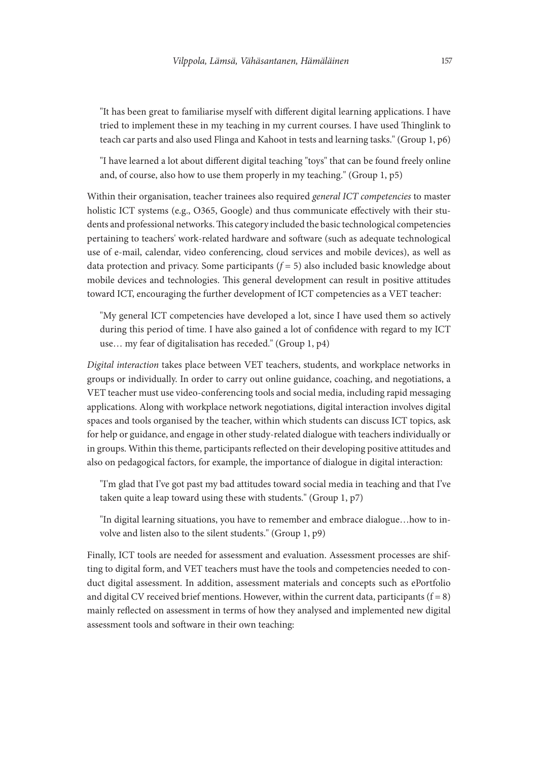"It has been great to familiarise myself with different digital learning applications. I have tried to implement these in my teaching in my current courses. I have used Thinglink to teach car parts and also used Flinga and Kahoot in tests and learning tasks." (Group 1, p6)

"I have learned a lot about different digital teaching "toys" that can be found freely online and, of course, also how to use them properly in my teaching." (Group 1, p5)

Within their organisation, teacher trainees also required *general ICT competencies* to master holistic ICT systems (e.g., O365, Google) and thus communicate effectively with their students and professional networks. This category included the basic technological competencies pertaining to teachers' work-related hardware and software (such as adequate technological use of e-mail, calendar, video conferencing, cloud services and mobile devices), as well as data protection and privacy. Some participants (*f* = 5) also included basic knowledge about mobile devices and technologies. This general development can result in positive attitudes toward ICT, encouraging the further development of ICT competencies as a VET teacher:

"My general ICT competencies have developed a lot, since I have used them so actively during this period of time. I have also gained a lot of confidence with regard to my ICT use… my fear of digitalisation has receded." (Group 1, p4)

*Digital interaction* takes place between VET teachers, students, and workplace networks in groups or individually. In order to carry out online guidance, coaching, and negotiations, a VET teacher must use video-conferencing tools and social media, including rapid messaging applications. Along with workplace network negotiations, digital interaction involves digital spaces and tools organised by the teacher, within which students can discuss ICT topics, ask for help or guidance, and engage in other study-related dialogue with teachers individually or in groups. Within this theme, participants reflected on their developing positive attitudes and also on pedagogical factors, for example, the importance of dialogue in digital interaction:

"I'm glad that I've got past my bad attitudes toward social media in teaching and that I've taken quite a leap toward using these with students." (Group 1, p7)

"In digital learning situations, you have to remember and embrace dialogue…how to involve and listen also to the silent students." (Group 1, p9)

Finally, ICT tools are needed for assessment and evaluation. Assessment processes are shifting to digital form, and VET teachers must have the tools and competencies needed to conduct digital assessment. In addition, assessment materials and concepts such as ePortfolio and digital CV received brief mentions. However, within the current data, participants ( $f = 8$ ) mainly reflected on assessment in terms of how they analysed and implemented new digital assessment tools and software in their own teaching: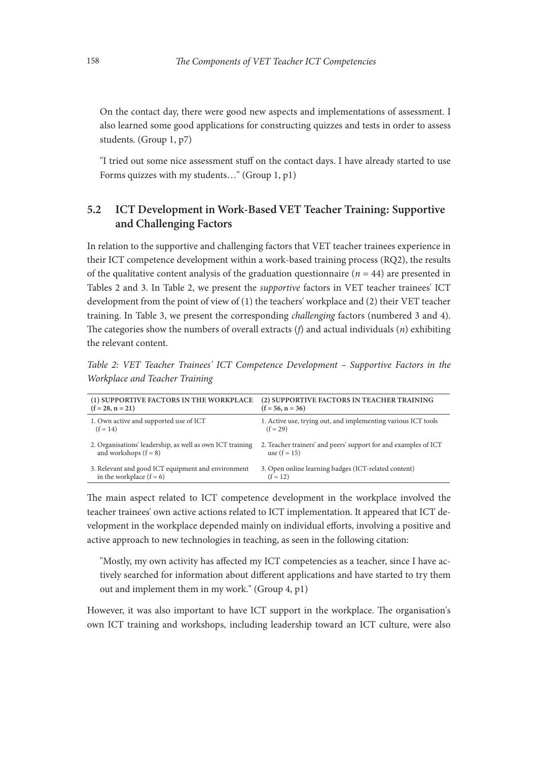On the contact day, there were good new aspects and implementations of assessment. I also learned some good applications for constructing quizzes and tests in order to assess students. (Group 1, p7)

"I tried out some nice assessment stuff on the contact days. I have already started to use Forms quizzes with my students…" (Group 1, p1)

## 5.2 ICT Development in Work-Based VET Teacher Training: Supportive and Challenging Factors

In relation to the supportive and challenging factors that VET teacher trainees experience in their ICT competence development within a work-based training process (RQ2), the results of the qualitative content analysis of the graduation questionnaire (*n* = 44) are presented in Tables 2 and 3. In Table 2, we present the *supportive* factors in VET teacher trainees' ICT development from the point of view of (1) the teachers' workplace and (2) their VET teacher training. In Table 3, we present the corresponding *challenging* factors (numbered 3 and 4). The categories show the numbers of overall extracts (*f*) and actual individuals (*n*) exhibiting the relevant content.

*Table 2: VET Teacher Trainees' ICT Competence Development – Supportive Factors in the Workplace and Teacher Training*

| (1) SUPPORTIVE FACTORS IN THE WORKPLACE                   | (2) SUPPORTIVE FACTORS IN TEACHER TRAINING                      |
|-----------------------------------------------------------|-----------------------------------------------------------------|
| $(f = 28, n = 21)$                                        | $(f = 56, n = 36)$                                              |
| 1. Own active and supported use of ICT                    | 1. Active use, trying out, and implementing various ICT tools   |
| $(f = 14)$                                                | $(f = 29)$                                                      |
| 2. Organisations' leadership, as well as own ICT training | 2. Teacher trainers' and peers' support for and examples of ICT |
| and workshops $(f = 8)$                                   | use $(f = 15)$                                                  |
| 3. Relevant and good ICT equipment and environment        | 3. Open online learning badges (ICT-related content)            |
| in the workplace $(f = 6)$                                | $(f = 12)$                                                      |

The main aspect related to ICT competence development in the workplace involved the teacher trainees' own active actions related to ICT implementation. It appeared that ICT development in the workplace depended mainly on individual efforts, involving a positive and active approach to new technologies in teaching, as seen in the following citation:

"Mostly, my own activity has affected my ICT competencies as a teacher, since I have actively searched for information about different applications and have started to try them out and implement them in my work." (Group 4, p1)

However, it was also important to have ICT support in the workplace. The organisation's own ICT training and workshops, including leadership toward an ICT culture, were also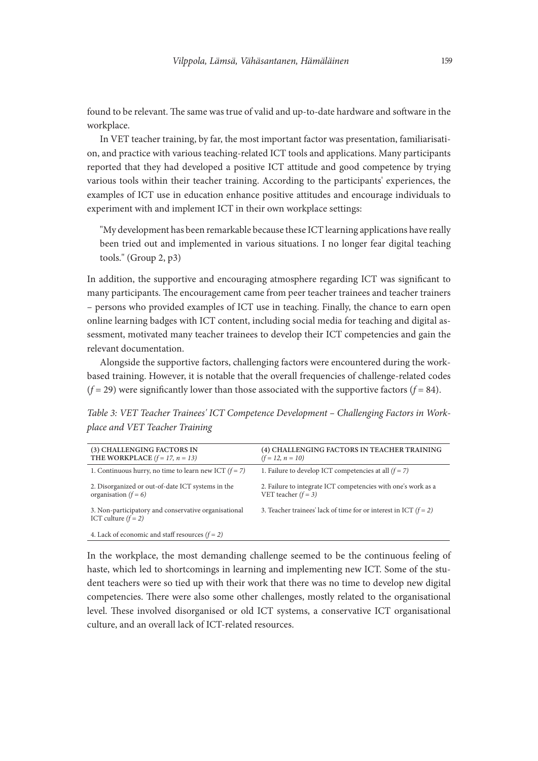found to be relevant. The same was true of valid and up-to-date hardware and software in the workplace.

In VET teacher training, by far, the most important factor was presentation, familiarisation, and practice with various teaching-related ICT tools and applications. Many participants reported that they had developed a positive ICT attitude and good competence by trying various tools within their teacher training. According to the participants' experiences, the examples of ICT use in education enhance positive attitudes and encourage individuals to experiment with and implement ICT in their own workplace settings:

"My development has been remarkable because these ICT learning applications have really been tried out and implemented in various situations. I no longer fear digital teaching tools." (Group 2, p3)

In addition, the supportive and encouraging atmosphere regarding ICT was significant to many participants. The encouragement came from peer teacher trainees and teacher trainers – persons who provided examples of ICT use in teaching. Finally, the chance to earn open online learning badges with ICT content, including social media for teaching and digital assessment, motivated many teacher trainees to develop their ICT competencies and gain the relevant documentation.

Alongside the supportive factors, challenging factors were encountered during the workbased training. However, it is notable that the overall frequencies of challenge-related codes  $(f = 29)$  were significantly lower than those associated with the supportive factors  $(f = 84)$ .

*Table 3: VET Teacher Trainees' ICT Competence Development – Challenging Factors in Workplace and VET Teacher Training*

| (3) CHALLENGING FACTORS IN<br>THE WORKPLACE $(f = 17, n = 13)$                | (4) CHALLENGING FACTORS IN TEACHER TRAINING<br>$(f = 12, n = 10)$                      |
|-------------------------------------------------------------------------------|----------------------------------------------------------------------------------------|
| 1. Continuous hurry, no time to learn new ICT $(f = 7)$                       | 1. Failure to develop ICT competencies at all $(f = 7)$                                |
| 2. Disorganized or out-of-date ICT systems in the<br>organisation $(f = 6)$   | 2. Failure to integrate ICT competencies with one's work as a<br>VET teacher $(f = 3)$ |
| 3. Non-participatory and conservative organisational<br>ICT culture $(f = 2)$ | 3. Teacher trainees' lack of time for or interest in ICT $(f = 2)$                     |
| 4. Lack of economic and staff resources $(f = 2)$                             |                                                                                        |

In the workplace, the most demanding challenge seemed to be the continuous feeling of haste, which led to shortcomings in learning and implementing new ICT. Some of the student teachers were so tied up with their work that there was no time to develop new digital competencies. There were also some other challenges, mostly related to the organisational level. These involved disorganised or old ICT systems, a conservative ICT organisational culture, and an overall lack of ICT-related resources.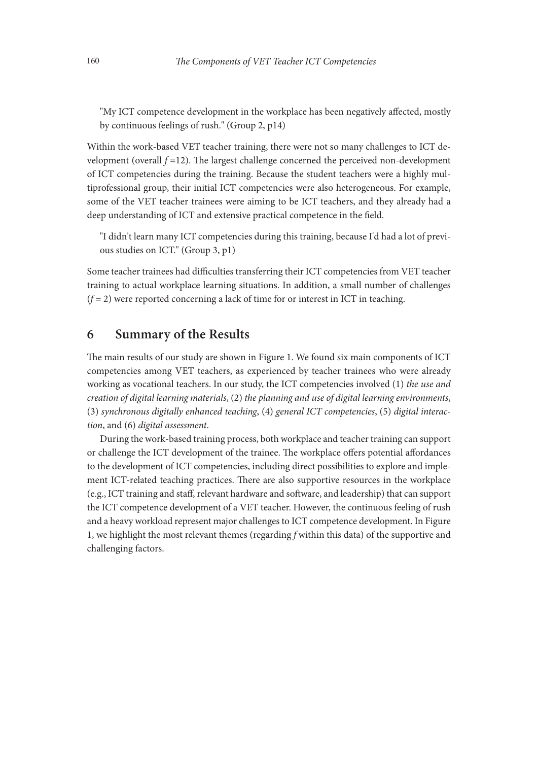"My ICT competence development in the workplace has been negatively affected, mostly by continuous feelings of rush." (Group 2, p14)

Within the work-based VET teacher training, there were not so many challenges to ICT development (overall  $f = 12$ ). The largest challenge concerned the perceived non-development of ICT competencies during the training. Because the student teachers were a highly multiprofessional group, their initial ICT competencies were also heterogeneous. For example, some of the VET teacher trainees were aiming to be ICT teachers, and they already had a deep understanding of ICT and extensive practical competence in the field.

"I didn't learn many ICT competencies during this training, because I'd had a lot of previous studies on ICT." (Group 3, p1)

Some teacher trainees had difficulties transferring their ICT competencies from VET teacher training to actual workplace learning situations. In addition, a small number of challenges  $(f = 2)$  were reported concerning a lack of time for or interest in ICT in teaching.

## 6 Summary of the Results

The main results of our study are shown in Figure 1. We found six main components of ICT competencies among VET teachers, as experienced by teacher trainees who were already working as vocational teachers. In our study, the ICT competencies involved (1) *the use and creation of digital learning materials*, (2) *the planning and use of digital learning environments*, (3) *synchronous digitally enhanced teaching*, (4) *general ICT competencies*, (5) *digital interaction*, and (6) *digital assessment*.

During the work-based training process, both workplace and teacher training can support or challenge the ICT development of the trainee. The workplace offers potential affordances to the development of ICT competencies, including direct possibilities to explore and implement ICT-related teaching practices. There are also supportive resources in the workplace (e.g., ICT training and staff, relevant hardware and software, and leadership) that can support the ICT competence development of a VET teacher. However, the continuous feeling of rush and a heavy workload represent major challenges to ICT competence development. In Figure 1, we highlight the most relevant themes (regarding *f* within this data) of the supportive and challenging factors.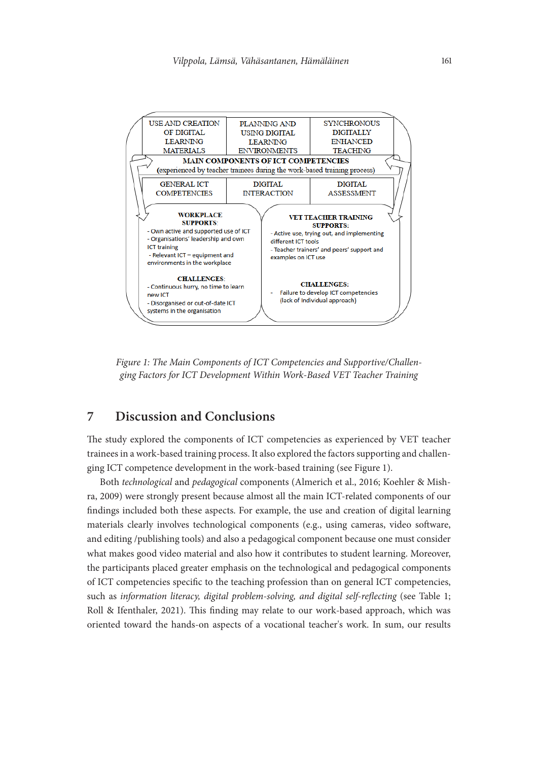

*Figure 1: The Main Components of ICT Competencies and Supportive/Challenging Factors for ICT Development Within Work-Based VET Teacher Training*

# 7 Discussion and Conclusions

The study explored the components of ICT competencies as experienced by VET teacher trainees in a work-based training process. It also explored the factors supporting and challenging ICT competence development in the work-based training (see Figure 1).

Both *technological* and *pedagogical* components (Almerich et al., 2016; Koehler & Mishra, 2009) were strongly present because almost all the main ICT-related components of our findings included both these aspects. For example, the use and creation of digital learning materials clearly involves technological components (e.g., using cameras, video software, and editing /publishing tools) and also a pedagogical component because one must consider what makes good video material and also how it contributes to student learning. Moreover, the participants placed greater emphasis on the technological and pedagogical components of ICT competencies specific to the teaching profession than on general ICT competencies, such as *information literacy, digital problem-solving, and digital self-reflecting* (see Table 1; Roll & Ifenthaler, 2021). This finding may relate to our work-based approach, which was oriented toward the hands-on aspects of a vocational teacher's work. In sum, our results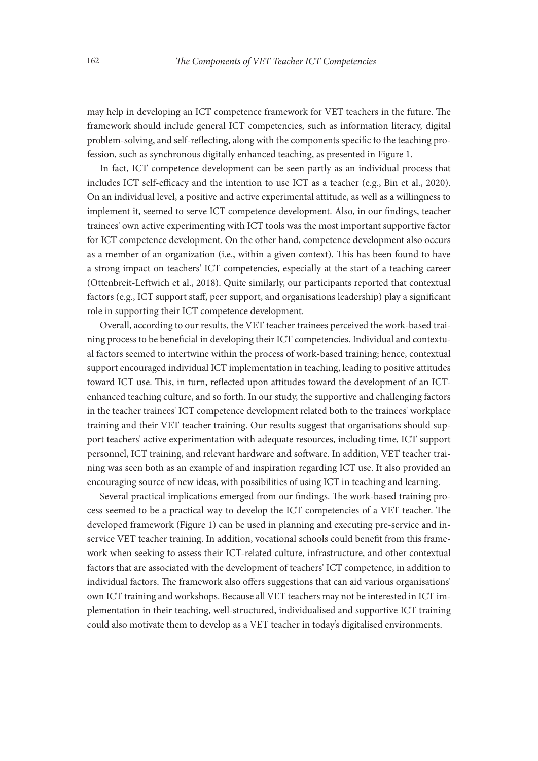may help in developing an ICT competence framework for VET teachers in the future. The framework should include general ICT competencies, such as information literacy, digital problem-solving, and self-reflecting, along with the components specific to the teaching profession, such as synchronous digitally enhanced teaching, as presented in Figure 1.

In fact, ICT competence development can be seen partly as an individual process that includes ICT self-efficacy and the intention to use ICT as a teacher (e.g., Bin et al., 2020). On an individual level, a positive and active experimental attitude, as well as a willingness to implement it, seemed to serve ICT competence development. Also, in our findings, teacher trainees' own active experimenting with ICT tools was the most important supportive factor for ICT competence development. On the other hand, competence development also occurs as a member of an organization (i.e., within a given context). This has been found to have a strong impact on teachers' ICT competencies, especially at the start of a teaching career (Ottenbreit-Leftwich et al., 2018). Quite similarly, our participants reported that contextual factors (e.g., ICT support staff, peer support, and organisations leadership) play a significant role in supporting their ICT competence development.

Overall, according to our results, the VET teacher trainees perceived the work-based training process to be beneficial in developing their ICT competencies. Individual and contextual factors seemed to intertwine within the process of work-based training; hence, contextual support encouraged individual ICT implementation in teaching, leading to positive attitudes toward ICT use. This, in turn, reflected upon attitudes toward the development of an ICTenhanced teaching culture, and so forth. In our study, the supportive and challenging factors in the teacher trainees' ICT competence development related both to the trainees' workplace training and their VET teacher training. Our results suggest that organisations should support teachers' active experimentation with adequate resources, including time, ICT support personnel, ICT training, and relevant hardware and software. In addition, VET teacher training was seen both as an example of and inspiration regarding ICT use. It also provided an encouraging source of new ideas, with possibilities of using ICT in teaching and learning.

Several practical implications emerged from our findings. The work-based training process seemed to be a practical way to develop the ICT competencies of a VET teacher. The developed framework (Figure 1) can be used in planning and executing pre-service and inservice VET teacher training. In addition, vocational schools could benefit from this framework when seeking to assess their ICT-related culture, infrastructure, and other contextual factors that are associated with the development of teachers' ICT competence, in addition to individual factors. The framework also offers suggestions that can aid various organisations' own ICT training and workshops. Because all VET teachers may not be interested in ICT implementation in their teaching, well-structured, individualised and supportive ICT training could also motivate them to develop as a VET teacher in today's digitalised environments.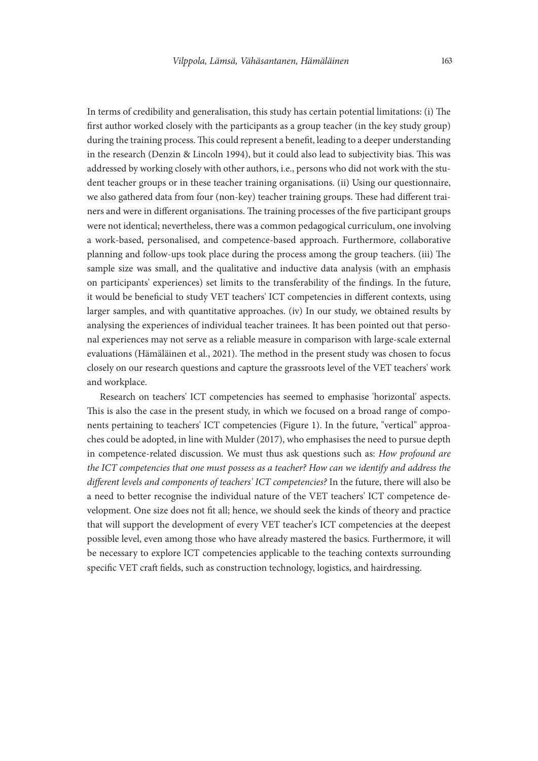In terms of credibility and generalisation, this study has certain potential limitations: (i) The first author worked closely with the participants as a group teacher (in the key study group) during the training process. This could represent a benefit, leading to a deeper understanding in the research (Denzin & Lincoln 1994), but it could also lead to subjectivity bias. This was addressed by working closely with other authors, i.e., persons who did not work with the student teacher groups or in these teacher training organisations. (ii) Using our questionnaire, we also gathered data from four (non-key) teacher training groups. These had different trainers and were in different organisations. The training processes of the five participant groups were not identical; nevertheless, there was a common pedagogical curriculum, one involving a work-based, personalised, and competence-based approach. Furthermore, collaborative planning and follow-ups took place during the process among the group teachers. (iii) The sample size was small, and the qualitative and inductive data analysis (with an emphasis on participants' experiences) set limits to the transferability of the findings. In the future, it would be beneficial to study VET teachers' ICT competencies in different contexts, using larger samples, and with quantitative approaches. (iv) In our study, we obtained results by analysing the experiences of individual teacher trainees. It has been pointed out that personal experiences may not serve as a reliable measure in comparison with large-scale external evaluations (Hämäläinen et al., 2021). The method in the present study was chosen to focus closely on our research questions and capture the grassroots level of the VET teachers' work and workplace.

Research on teachers' ICT competencies has seemed to emphasise 'horizontal' aspects. This is also the case in the present study, in which we focused on a broad range of components pertaining to teachers' ICT competencies (Figure 1). In the future, "vertical" approaches could be adopted, in line with Mulder (2017), who emphasises the need to pursue depth in competence-related discussion. We must thus ask questions such as: *How profound are the ICT competencies that one must possess as a teacher? How can we identify and address the different levels and components of teachers' ICT competencies?* In the future, there will also be a need to better recognise the individual nature of the VET teachers' ICT competence development. One size does not fit all; hence, we should seek the kinds of theory and practice that will support the development of every VET teacher's ICT competencies at the deepest possible level, even among those who have already mastered the basics. Furthermore, it will be necessary to explore ICT competencies applicable to the teaching contexts surrounding specific VET craft fields, such as construction technology, logistics, and hairdressing.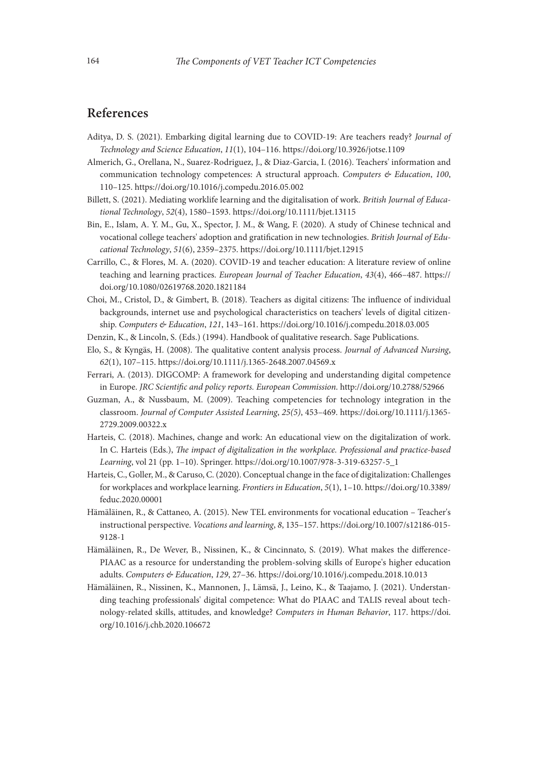## References

- Aditya, D. S. (2021). Embarking digital learning due to COVID-19: Are teachers ready? *Journal of Technology and Science Education*, *11*(1), 104–116. https://doi.org/10.3926/jotse.1109
- Almerich, G., Orellana, N., Suarez-Rodriguez, J., & Diaz-Garcia, I. (2016). Teachers' information and communication technology competences: A structural approach. *Computers & Education*, *100*, 110–125. https://doi.org/10.1016/j.compedu.2016.05.002
- Billett, S. (2021). Mediating worklife learning and the digitalisation of work. *British Journal of Educational Technology*, *52*(4), 1580–1593. https://doi.org/10.1111/bjet.13115
- Bin, E., Islam, A. Y. M., Gu, X., Spector, J. M., & Wang, F. (2020). A study of Chinese technical and vocational college teachers' adoption and gratification in new technologies. *British Journal of Educational Technology*, *51*(6), 2359–2375. https://doi.org/10.1111/bjet.12915
- Carrillo, C., & Flores, M. A. (2020). COVID-19 and teacher education: A literature review of online teaching and learning practices. *European Journal of Teacher Education*, *43*(4), 466–487. https:// doi.org/10.1080/02619768.2020.1821184
- Choi, M., Cristol, D., & Gimbert, B. (2018). Teachers as digital citizens: The influence of individual backgrounds, internet use and psychological characteristics on teachers' levels of digital citizenship. *Computers & Education*, *121*, 143–161. https://doi.org/10.1016/j.compedu.2018.03.005
- Denzin, K., & Lincoln, S. (Eds.) (1994). Handbook of qualitative research. Sage Publications.
- Elo, S., & Kyngäs, H. (2008). The qualitative content analysis process. *Journal of Advanced Nursing*, *62*(1), 107–115. https://doi.org/10.1111/j.1365-2648.2007.04569.x
- Ferrari, A. (2013). DIGCOMP: A framework for developing and understanding digital competence in Europe. *JRC Scientific and policy reports. European Commission*. http://doi.org/10.2788/52966
- Guzman, A., & Nussbaum, M. (2009). Teaching competencies for technology integration in the classroom. *Journal of Computer Assisted Learning*, *25(5)*, 453–469. https://doi.org/10.1111/j.1365- 2729.2009.00322.x
- Harteis, C. (2018). Machines, change and work: An educational view on the digitalization of work. In C. Harteis (Eds.), *The impact of digitalization in the workplace. Professional and practice-based Learning*, vol 21 (pp. 1–10). Springer. https://doi.org/10.1007/978-3-319-63257-5\_1
- Harteis, C., Goller, M., & Caruso, C. (2020). Conceptual change in the face of digitalization: Challenges for workplaces and workplace learning. *Frontiers in Education*, *5*(1), 1–10. [https://doi.org/10.3389/](https://doi.org/10.3389/feduc.2020.00001) [feduc.2020.00001](https://doi.org/10.3389/feduc.2020.00001)
- Hämäläinen, R., & Cattaneo, A. (2015). New TEL environments for vocational education Teacher's instructional perspective. *Vocations and learning*, *8*, 135–157. https://doi.org/10.1007/s12186-015- 9128-1
- Hämäläinen, R., De Wever, B., Nissinen, K., & Cincinnato, S. (2019). What makes the difference-PIAAC as a resource for understanding the problem-solving skills of Europe's higher education adults. *Computers & Education*, *129*, 27–36. https://doi.org/10.1016/j.compedu.2018.10.013
- Hämäläinen, R., Nissinen, K., Mannonen, J., Lämsä, J., Leino, K., & Taajamo, J. (2021). Understanding teaching professionals' digital competence: What do PIAAC and TALIS reveal about technology-related skills, attitudes, and knowledge? *Computers in Human Behavior*, 117. [https://doi.](https://doi.org/10.1016/j.chb.2020.106672) [org/10.1016/j.chb.2020.106672](https://doi.org/10.1016/j.chb.2020.106672)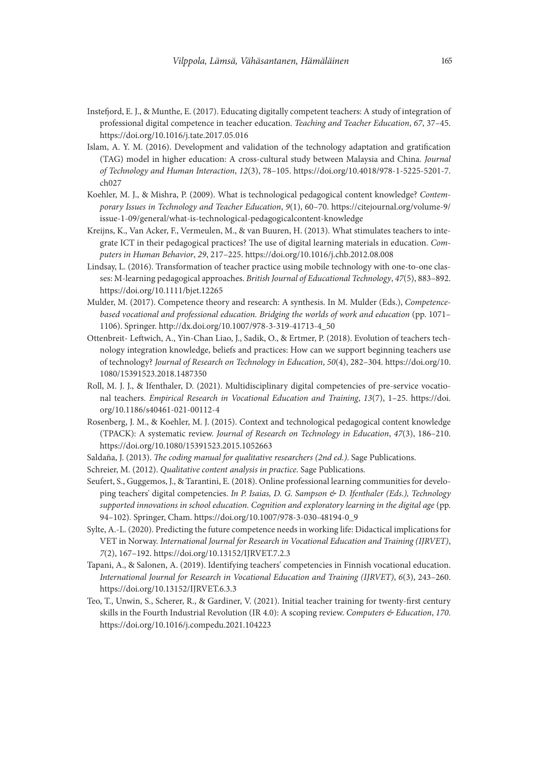- Instefjord, E. J., & Munthe, E. (2017). Educating digitally competent teachers: A study of integration of professional digital competence in teacher education. *Teaching and Teacher Education*, *67*, 37–45. https://doi.org/10.1016/j.tate.2017.05.016
- Islam, A. Y. M. (2016). Development and validation of the technology adaptation and gratification (TAG) model in higher education: A cross-cultural study between Malaysia and China*. Journal of Technology and Human Interaction*, *12*(3), 78–105. https://doi.org/10.4018/978-1-5225-5201-7.  $ch027$
- Koehler, M. J., & Mishra, P. (2009). What is technological pedagogical content knowledge? *Contemporary Issues in Technology and Teacher Education*, *9*(1), 60–70. [https://citejournal.org/volume-9/](https://citejournal.org/volume-9/issue-1-09/general/what-is-technological-pedagogicalcontent-knowledge) [issue-1-09/general/what-is-technological-pedagogicalcontent-knowledge](https://citejournal.org/volume-9/issue-1-09/general/what-is-technological-pedagogicalcontent-knowledge)
- Kreijns, K., Van Acker, F., Vermeulen, M., & van Buuren, H. (2013). What stimulates teachers to integrate ICT in their pedagogical practices? The use of digital learning materials in education. *Computers in Human Behavior*, *29*, 217–225. https://doi.org/10.1016/j.chb.2012.08.008
- Lindsay, L. (2016). Transformation of teacher practice using mobile technology with one-to-one classes: M-learning pedagogical approaches. *British Journal of Educational Technology*, *47*(5), 883–892. https://doi.org/10.1111/bjet.12265
- Mulder, M. (2017). Competence theory and research: A synthesis. In M. Mulder (Eds.), *Competencebased vocational and professional education. Bridging the worlds of work and education* (pp. 1071– 1106). Springer. http://dx.doi.org/10.1007/978-3-319-41713-4\_50
- Ottenbreit- Leftwich, A., Yin-Chan Liao, J., Sadik, O., & Ertmer, P. (2018). Evolution of teachers technology integration knowledge, beliefs and practices: How can we support beginning teachers use of technology? *Journal of Research on Technology in Education*, *50*(4), 282–304. [https://doi.org/10.](https://doi.org/10.1080/15391523.2018.1487350) [1080/15391523.2018.1487350](https://doi.org/10.1080/15391523.2018.1487350)
- Roll, M. J. J., & Ifenthaler, D. (2021). Multidisciplinary digital competencies of pre-service vocational teachers. *Empirical Research in Vocational Education and Training*, *13*(7), 1–25. [https://doi.](https://doi.org/10.1186/s40461-021-00112-4) [org/10.1186/s40461-021-00112-4](https://doi.org/10.1186/s40461-021-00112-4)
- Rosenberg, J. M., & Koehler, M. J. (2015). Context and technological pedagogical content knowledge (TPACK): A systematic review. *Journal of Research on Technology in Education*, *47*(3), 186–210. https://doi.org/10.1080/15391523.2015.1052663
- Saldaña, J. (2013). *The coding manual for qualitative researchers (2nd ed.)*. Sage Publications.
- Schreier, M. (2012). *Qualitative content analysis in practice*. Sage Publications.
- Seufert, S., Guggemos, J., & Tarantini, E. (2018). Online professional learning communities for developing teachers' digital competencies. *In P. Isaias, D. G. Sampson & D. Ifenthaler (Eds.), Technology supported innovations in school education. Cognition and exploratory learning in the digital age* (pp. 94–102)*.* Springer, Cham. https://doi.org/10.1007/978-3-030-48194-0\_9
- Sylte, A.-L. (2020). Predicting the future competence needs in working life: Didactical implications for VET in Norway. *International Journal for Research in Vocational Education and Training (IJRVET)*, *7*(2), 167–192. https://doi.org/10.13152/IJRVET.7.2.3
- Tapani, A., & Salonen, A. (2019). Identifying teachers' competencies in Finnish vocational education. *International Journal for Research in Vocational Education and Training (IJRVET)*, *6*(3), 243–260. https://doi.org/10.13152/IJRVET.6.3.3
- Teo, T., Unwin, S., Scherer, R., & Gardiner, V. (2021). Initial teacher training for twenty-first century skills in the Fourth Industrial Revolution (IR 4.0): A scoping review. *Computers & Education*, *170*. https://doi.org/10.1016/j.compedu.2021.104223